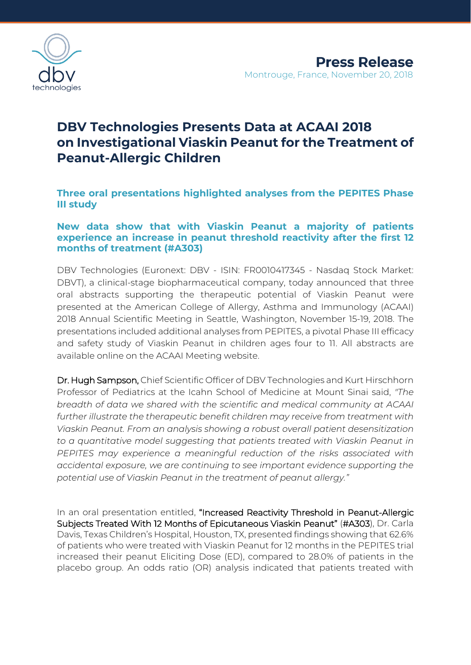

# **DBV Technologies Presents Data at ACAAI 2018 on Investigational Viaskin Peanut for the Treatment of Peanut-Allergic Children**

**Three oral presentations highlighted analyses from the PEPITES Phase III study** 

### **New data show that with Viaskin Peanut a majority of patients experience an increase in peanut threshold reactivity after the first 12 months of treatment (#A303)**

DBV Technologies (Euronext: DBV - ISIN: FR0010417345 - Nasdaq Stock Market: DBVT), a clinical-stage biopharmaceutical company, today announced that three oral abstracts supporting the therapeutic potential of Viaskin Peanut were presented at the American College of Allergy, Asthma and Immunology (ACAAI) 2018 Annual Scientific Meeting in Seattle, Washington, November 15-19, 2018. The presentations included additional analyses from PEPITES, a pivotal Phase III efficacy and safety study of Viaskin Peanut in children ages four to 11. All abstracts are available online on the ACAAI Meeting website.

Dr. Hugh Sampson, Chief Scientific Officer of DBV Technologies and Kurt Hirschhorn Professor of Pediatrics at the Icahn School of Medicine at Mount Sinai said, *"The breadth of data we shared with the scientific and medical community at ACAAI further illustrate the therapeutic benefit children may receive from treatment with Viaskin Peanut. From an analysis showing a robust overall patient desensitization to a quantitative model suggesting that patients treated with Viaskin Peanut in PEPITES may experience a meaningful reduction of the risks associated with accidental exposure, we are continuing to see important evidence supporting the potential use of Viaskin Peanut in the treatment of peanut allergy."*

In an oral presentation entitled, "Increased Reactivity Threshold in Peanut-Allergic Subjects Treated With 12 Months of Epicutaneous Viaskin Peanut" (#A303), Dr. Carla Davis, Texas Children's Hospital, Houston, TX, presented findings showing that 62.6% of patients who were treated with Viaskin Peanut for 12 months in the PEPITES trial increased their peanut Eliciting Dose (ED), compared to 28.0% of patients in the placebo group. An odds ratio (OR) analysis indicated that patients treated with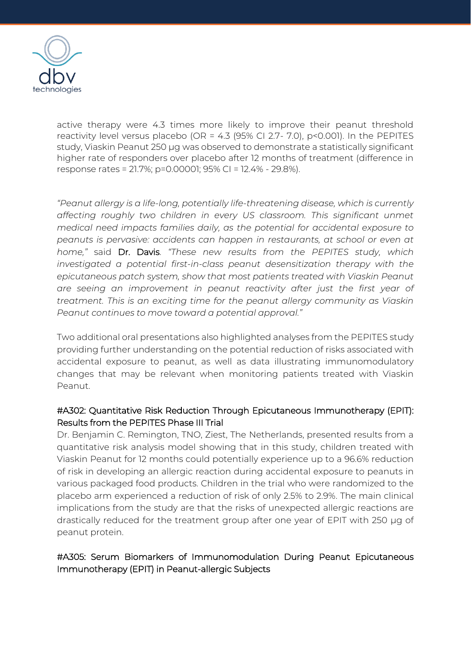

active therapy were 4.3 times more likely to improve their peanut threshold reactivity level versus placebo (OR =  $4.3$  (95% CI 2.7- 7.0), p<0.001). In the PEPITES study, Viaskin Peanut 250 μg was observed to demonstrate a statistically significant higher rate of responders over placebo after 12 months of treatment (difference in response rates = 21.7%; p=0.00001; 95% CI = 12.4% - 29.8%).

*"Peanut allergy is a life-long, potentially life-threatening disease, which is currently affecting roughly two children in every US classroom. This significant unmet medical need impacts families daily, as the potential for accidental exposure to peanuts is pervasive: accidents can happen in restaurants, at school or even at home,"* said Dr. Davis. *"These new results from the PEPITES study, which investigated a potential first-in-class peanut desensitization therapy with the epicutaneous patch system, show that most patients treated with Viaskin Peanut are seeing an improvement in peanut reactivity after just the first year of treatment. This is an exciting time for the peanut allergy community as Viaskin Peanut continues to move toward a potential approval."*

Two additional oral presentations also highlighted analyses from the PEPITES study providing further understanding on the potential reduction of risks associated with accidental exposure to peanut, as well as data illustrating immunomodulatory changes that may be relevant when monitoring patients treated with Viaskin Peanut.

### #A302: Quantitative Risk Reduction Through Epicutaneous Immunotherapy (EPIT): Results from the PEPITES Phase III Trial

Dr. Benjamin C. Remington, TNO, Ziest, The Netherlands, presented results from a quantitative risk analysis model showing that in this study, children treated with Viaskin Peanut for 12 months could potentially experience up to a 96.6% reduction of risk in developing an allergic reaction during accidental exposure to peanuts in various packaged food products. Children in the trial who were randomized to the placebo arm experienced a reduction of risk of only 2.5% to 2.9%. The main clinical implications from the study are that the risks of unexpected allergic reactions are drastically reduced for the treatment group after one year of EPIT with 250 µg of peanut protein.

### #A305: Serum Biomarkers of Immunomodulation During Peanut Epicutaneous Immunotherapy (EPIT) in Peanut-allergic Subjects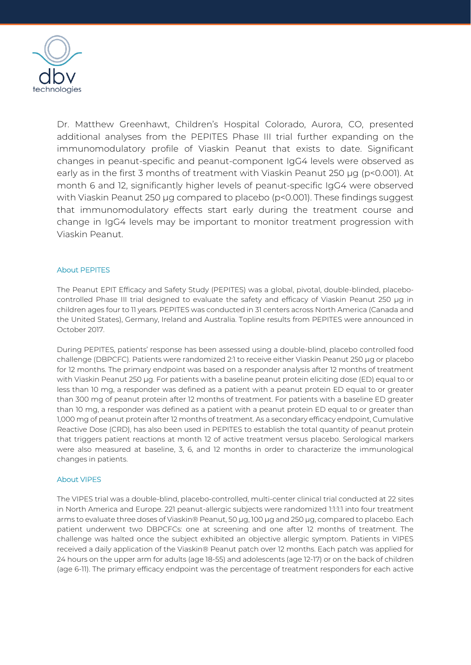

Dr. Matthew Greenhawt, Children's Hospital Colorado, Aurora, CO, presented additional analyses from the PEPITES Phase III trial further expanding on the immunomodulatory profile of Viaskin Peanut that exists to date. Significant changes in peanut-specific and peanut-component IgG4 levels were observed as early as in the first 3 months of treatment with Viaskin Peanut 250 µg (p<0.001). At month 6 and 12, significantly higher levels of peanut-specific IgG4 were observed with Viaskin Peanut 250 μg compared to placebo (p<0.001). These findings suggest that immunomodulatory effects start early during the treatment course and change in IgG4 levels may be important to monitor treatment progression with Viaskin Peanut.

#### About PEPITES

The Peanut EPIT Efficacy and Safety Study (PEPITES) was a global, pivotal, double-blinded, placebocontrolled Phase III trial designed to evaluate the safety and efficacy of Viaskin Peanut 250 μg in children ages four to 11 years. PEPITES was conducted in 31 centers across North America (Canada and the United States), Germany, Ireland and Australia. Topline results from PEPITES were announced in October 2017.

During PEPITES, patients' response has been assessed using a double-blind, placebo controlled food challenge (DBPCFC). Patients were randomized 2:1 to receive either Viaskin Peanut 250 μg or placebo for 12 months. The primary endpoint was based on a responder analysis after 12 months of treatment with Viaskin Peanut 250 µg. For patients with a baseline peanut protein eliciting dose (ED) equal to or less than 10 mg, a responder was defined as a patient with a peanut protein ED equal to or greater than 300 mg of peanut protein after 12 months of treatment. For patients with a baseline ED greater than 10 mg, a responder was defined as a patient with a peanut protein ED equal to or greater than 1,000 mg of peanut protein after 12 months of treatment. As a secondary efficacy endpoint, Cumulative Reactive Dose (CRD), has also been used in PEPITES to establish the total quantity of peanut protein that triggers patient reactions at month 12 of active treatment versus placebo. Serological markers were also measured at baseline, 3, 6, and 12 months in order to characterize the immunological changes in patients.

#### About VIPES

The VIPES trial was a double-blind, placebo-controlled, multi-center clinical trial conducted at 22 sites in North America and Europe. 221 peanut-allergic subjects were randomized 1:1:1:1 into four treatment arms to evaluate three doses of Viaskin® Peanut, 50 µg, 100 µg and 250 µg, compared to placebo. Each patient underwent two DBPCFCs: one at screening and one after 12 months of treatment. The challenge was halted once the subject exhibited an objective allergic symptom. Patients in VIPES received a daily application of the Viaskin® Peanut patch over 12 months. Each patch was applied for 24 hours on the upper arm for adults (age 18-55) and adolescents (age 12-17) or on the back of children (age 6-11). The primary efficacy endpoint was the percentage of treatment responders for each active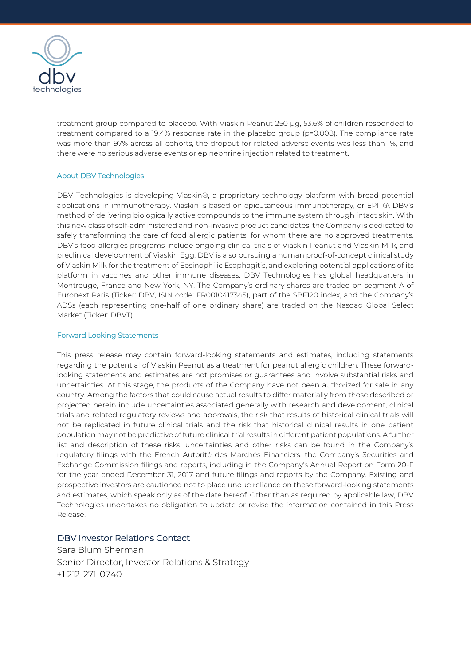

treatment group compared to placebo. With Viaskin Peanut 250 µg, 53.6% of children responded to treatment compared to a 19.4% response rate in the placebo group (p=0.008). The compliance rate was more than 97% across all cohorts, the dropout for related adverse events was less than 1%, and there were no serious adverse events or epinephrine injection related to treatment.

#### About DBV Technologies

DBV Technologies is developing Viaskin®, a proprietary technology platform with broad potential applications in immunotherapy. Viaskin is based on epicutaneous immunotherapy, or EPIT®, DBV's method of delivering biologically active compounds to the immune system through intact skin. With this new class of self-administered and non-invasive product candidates, the Company is dedicated to safely transforming the care of food allergic patients, for whom there are no approved treatments. DBV's food allergies programs include ongoing clinical trials of Viaskin Peanut and Viaskin Milk, and preclinical development of Viaskin Egg. DBV is also pursuing a human proof-of-concept clinical study of Viaskin Milk for the treatment of Eosinophilic Esophagitis, and exploring potential applications of its platform in vaccines and other immune diseases. DBV Technologies has global headquarters in Montrouge, France and New York, NY. The Company's ordinary shares are traded on segment A of Euronext Paris (Ticker: DBV, ISIN code: FR0010417345), part of the SBF120 index, and the Company's ADSs (each representing one-half of one ordinary share) are traded on the Nasdaq Global Select Market (Ticker: DBVT).

#### Forward Looking Statements

This press release may contain forward-looking statements and estimates, including statements regarding the potential of Viaskin Peanut as a treatment for peanut allergic children. These forwardlooking statements and estimates are not promises or guarantees and involve substantial risks and uncertainties. At this stage, the products of the Company have not been authorized for sale in any country. Among the factors that could cause actual results to differ materially from those described or projected herein include uncertainties associated generally with research and development, clinical trials and related regulatory reviews and approvals, the risk that results of historical clinical trials will not be replicated in future clinical trials and the risk that historical clinical results in one patient population may not be predictive of future clinical trial results in different patient populations. A further list and description of these risks, uncertainties and other risks can be found in the Company's regulatory filings with the French Autorité des Marchés Financiers, the Company's Securities and Exchange Commission filings and reports, including in the Company's Annual Report on Form 20-F for the year ended December 31, 2017 and future filings and reports by the Company. Existing and prospective investors are cautioned not to place undue reliance on these forward-looking statements and estimates, which speak only as of the date hereof. Other than as required by applicable law, DBV Technologies undertakes no obligation to update or revise the information contained in this Press Release.

#### DBV Investor Relations Contact

Sara Blum Sherman Senior Director, Investor Relations & Strategy +1 212-271-0740